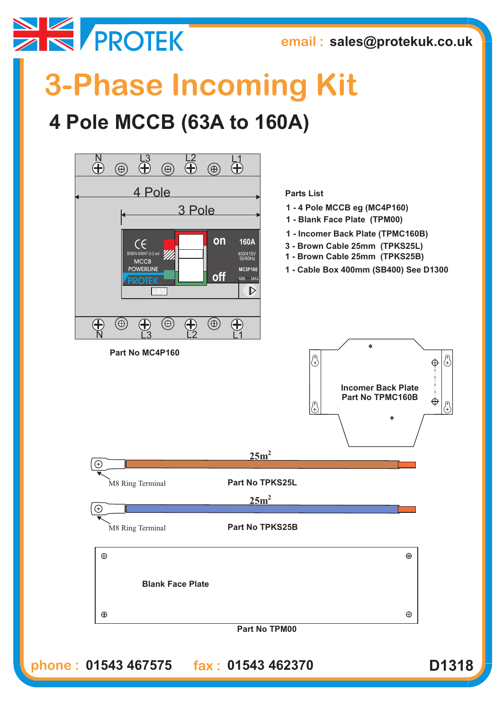

**email : sales@protekuk.co.uk**

## **3-Phase Incoming Kit**

## **4 Pole MCCB (63A to 160A)**